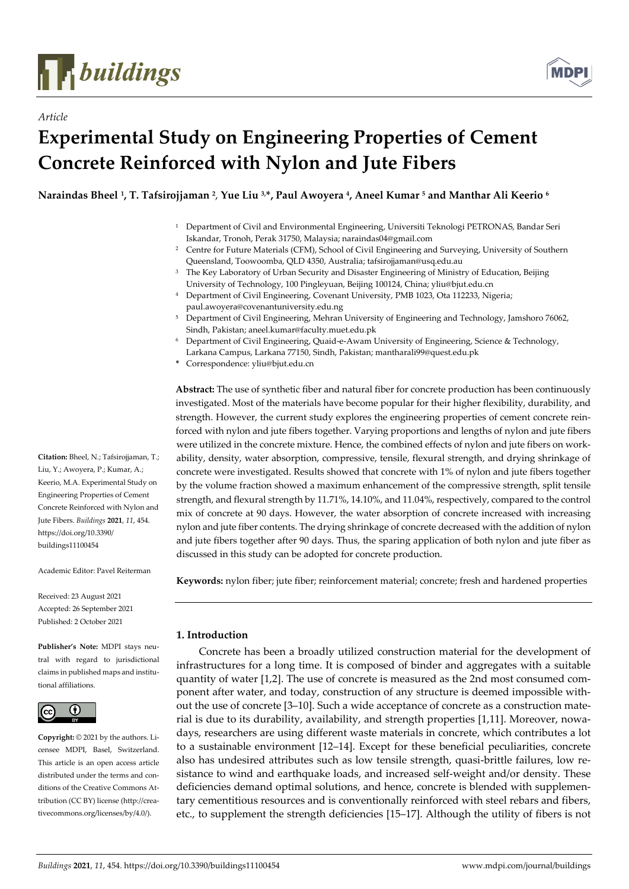

*Article*



# **Experimental Study on Engineering Properties of Cement Concrete Reinforced with Nylon and Jute Fibers**

**Naraindas Bheel <sup>1</sup> , T. Tafsirojjaman <sup>2</sup>** , **Yue Liu 3,\*, Paul Awoyera <sup>4</sup> , Aneel Kumar <sup>5</sup> and Manthar Ali Keerio <sup>6</sup>**

- <sup>1</sup> Department of Civil and Environmental Engineering, Universiti Teknologi PETRONAS, Bandar Seri Iskandar, Tronoh, Perak 31750, Malaysia; naraindas04@gmail.com
- <sup>2</sup> Centre for Future Materials (CFM), School of Civil Engineering and Surveying, University of Southern Queensland, Toowoomba, QLD 4350, Australia; tafsirojjaman@usq.edu.au
- <sup>3</sup> The Key Laboratory of Urban Security and Disaster Engineering of Ministry of Education, Beijing University of Technology, 100 Pingleyuan, Beijing 100124, China; yliu@bjut.edu.cn
- <sup>4</sup> Department of Civil Engineering, Covenant University, PMB 1023, Ota 112233, Nigeria; paul.awoyera@covenantuniversity.edu.ng
- <sup>5</sup> Department of Civil Engineering, Mehran University of Engineering and Technology, Jamshoro 76062, Sindh, Pakistan; aneel.kumar@faculty.muet.edu.pk
- <sup>6</sup> Department of Civil Engineering, Quaid-e-Awam University of Engineering, Science & Technology,
- Larkana Campus, Larkana 77150, Sindh, Pakistan; mantharali99@quest.edu.pk
- **\*** Correspondence[: yliu@bjut.edu.cn](mailto:yliu@bjut.edu.cn)

**Abstract:** The use of synthetic fiber and natural fiber for concrete production has been continuously investigated. Most of the materials have become popular for their higher flexibility, durability, and strength. However, the current study explores the engineering properties of cement concrete reinforced with nylon and jute fibers together. Varying proportions and lengths of nylon and jute fibers were utilized in the concrete mixture. Hence, the combined effects of nylon and jute fibers on workability, density, water absorption, compressive, tensile, flexural strength, and drying shrinkage of concrete were investigated. Results showed that concrete with 1% of nylon and jute fibers together by the volume fraction showed a maximum enhancement of the compressive strength, split tensile strength, and flexural strength by 11.71%, 14.10%, and 11.04%, respectively, compared to the control mix of concrete at 90 days. However, the water absorption of concrete increased with increasing nylon and jute fiber contents. The drying shrinkage of concrete decreased with the addition of nylon and jute fibers together after 90 days. Thus, the sparing application of both nylon and jute fiber as discussed in this study can be adopted for concrete production.

**Keywords:** nylon fiber; jute fiber; reinforcement material; concrete; fresh and hardened properties

# **1. Introduction**

Concrete has been a broadly utilized construction material for the development of infrastructures for a long time. It is composed of binder and aggregates with a suitable quantity of water [1,2]. The use of concrete is measured as the 2nd most consumed component after water, and today, construction of any structure is deemed impossible without the use of concrete [3–10]. Such a wide acceptance of concrete as a construction material is due to its durability, availability, and strength properties [1,11]. Moreover, nowadays, researchers are using different waste materials in concrete, which contributes a lot to a sustainable environment [12–14]. Except for these beneficial peculiarities, concrete also has undesired attributes such as low tensile strength, quasi-brittle failures, low resistance to wind and earthquake loads, and increased self-weight and/or density. These deficiencies demand optimal solutions, and hence, concrete is blended with supplementary cementitious resources and is conventionally reinforced with steel rebars and fibers, etc., to supplement the strength deficiencies [15–17]. Although the utility of fibers is not

**Citation:** Bheel, N.; Tafsirojjaman, T.; Liu, Y.; Awoyera, P.; Kumar, A.; Keerio, M.A. Experimental Study on Engineering Properties of Cement Concrete Reinforced with Nylon and Jute Fibers. *Buildings* **2021**, *11*, 454. https://doi.org/10.3390/ buildings11100454

Academic Editor: Pavel Reiterman

Received: 23 August 2021 Accepted: 26 September 2021 Published: 2 October 2021

**Publisher's Note:** MDPI stays neutral with regard to jurisdictional claims in published maps and institutional affiliations.



**Copyright:** © 2021 by the authors. Licensee MDPI, Basel, Switzerland. This article is an open access article distributed under the terms and conditions of the Creative Commons Attribution (CC BY) license (http://creativecommons.org/licenses/by/4.0/).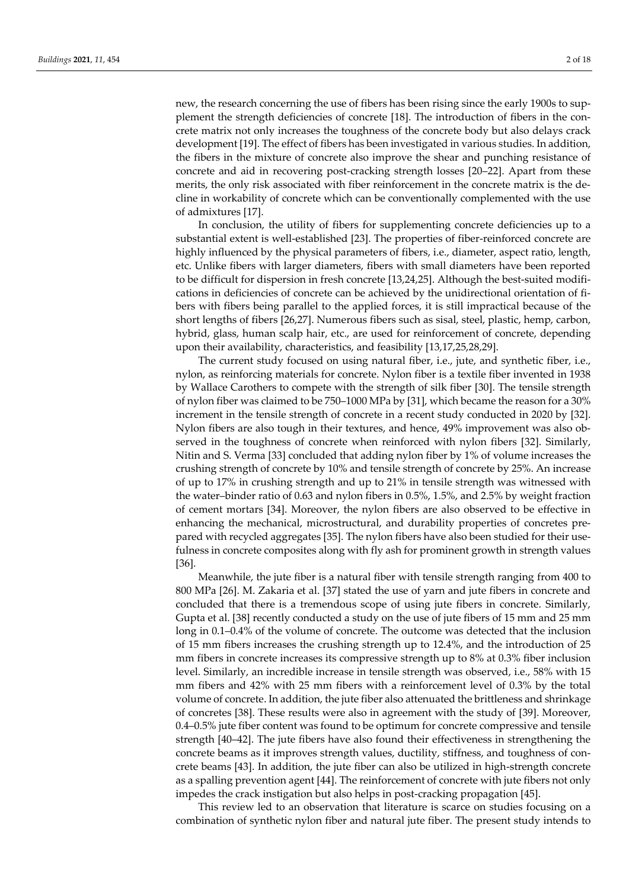new, the research concerning the use of fibers has been rising since the early 1900s to supplement the strength deficiencies of concrete [18]. The introduction of fibers in the concrete matrix not only increases the toughness of the concrete body but also delays crack development [19]. The effect of fibers has been investigated in various studies. In addition, the fibers in the mixture of concrete also improve the shear and punching resistance of concrete and aid in recovering post-cracking strength losses [20–22]. Apart from these merits, the only risk associated with fiber reinforcement in the concrete matrix is the decline in workability of concrete which can be conventionally complemented with the use of admixtures [17].

In conclusion, the utility of fibers for supplementing concrete deficiencies up to a substantial extent is well-established [23]. The properties of fiber-reinforced concrete are highly influenced by the physical parameters of fibers, i.e., diameter, aspect ratio, length, etc. Unlike fibers with larger diameters, fibers with small diameters have been reported to be difficult for dispersion in fresh concrete [13,24,25]. Although the best-suited modifications in deficiencies of concrete can be achieved by the unidirectional orientation of fibers with fibers being parallel to the applied forces, it is still impractical because of the short lengths of fibers [26,27]. Numerous fibers such as sisal, steel, plastic, hemp, carbon, hybrid, glass, human scalp hair, etc., are used for reinforcement of concrete, depending upon their availability, characteristics, and feasibility [13,17,25,28,29].

The current study focused on using natural fiber, i.e., jute, and synthetic fiber, i.e., nylon, as reinforcing materials for concrete. Nylon fiber is a textile fiber invented in 1938 by Wallace Carothers to compete with the strength of silk fiber [30]. The tensile strength of nylon fiber was claimed to be 750–1000 MPa by [31], which became the reason for a 30% increment in the tensile strength of concrete in a recent study conducted in 2020 by [32]. Nylon fibers are also tough in their textures, and hence, 49% improvement was also observed in the toughness of concrete when reinforced with nylon fibers [32]. Similarly, Nitin and S. Verma [33] concluded that adding nylon fiber by 1% of volume increases the crushing strength of concrete by 10% and tensile strength of concrete by 25%. An increase of up to 17% in crushing strength and up to 21% in tensile strength was witnessed with the water–binder ratio of 0.63 and nylon fibers in 0.5%, 1.5%, and 2.5% by weight fraction of cement mortars [34]. Moreover, the nylon fibers are also observed to be effective in enhancing the mechanical, microstructural, and durability properties of concretes prepared with recycled aggregates [35]. The nylon fibers have also been studied for their usefulness in concrete composites along with fly ash for prominent growth in strength values [36].

Meanwhile, the jute fiber is a natural fiber with tensile strength ranging from 400 to 800 MPa [26]. M. Zakaria et al. [37] stated the use of yarn and jute fibers in concrete and concluded that there is a tremendous scope of using jute fibers in concrete. Similarly, Gupta et al. [38] recently conducted a study on the use of jute fibers of 15 mm and 25 mm long in 0.1–0.4% of the volume of concrete. The outcome was detected that the inclusion of 15 mm fibers increases the crushing strength up to 12.4%, and the introduction of 25 mm fibers in concrete increases its compressive strength up to 8% at 0.3% fiber inclusion level. Similarly, an incredible increase in tensile strength was observed, i.e., 58% with 15 mm fibers and 42% with 25 mm fibers with a reinforcement level of 0.3% by the total volume of concrete. In addition, the jute fiber also attenuated the brittleness and shrinkage of concretes [38]. These results were also in agreement with the study of [39]. Moreover, 0.4–0.5% jute fiber content was found to be optimum for concrete compressive and tensile strength [40–42]. The jute fibers have also found their effectiveness in strengthening the concrete beams as it improves strength values, ductility, stiffness, and toughness of concrete beams [43]. In addition, the jute fiber can also be utilized in high-strength concrete as a spalling prevention agent [44]. The reinforcement of concrete with jute fibers not only impedes the crack instigation but also helps in post-cracking propagation [45].

This review led to an observation that literature is scarce on studies focusing on a combination of synthetic nylon fiber and natural jute fiber. The present study intends to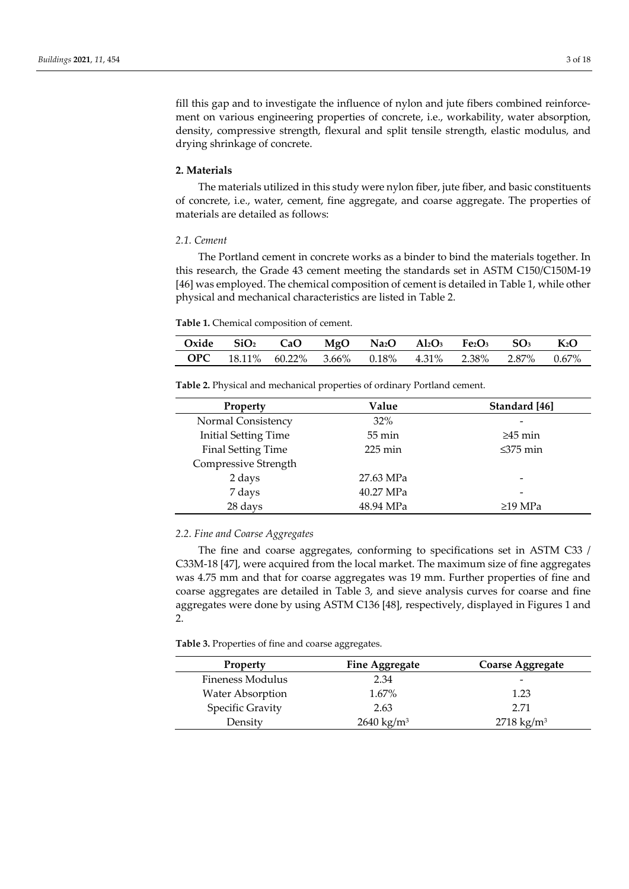fill this gap and to investigate the influence of nylon and jute fibers combined reinforcement on various engineering properties of concrete, i.e., workability, water absorption, density, compressive strength, flexural and split tensile strength, elastic modulus, and drying shrinkage of concrete.

## **2. Materials**

The materials utilized in this study were nylon fiber, jute fiber, and basic constituents of concrete, i.e., water, cement, fine aggregate, and coarse aggregate. The properties of materials are detailed as follows:

## *2.1. Cement*

The Portland cement in concrete works as a binder to bind the materials together. In this research, the Grade 43 cement meeting the standards set in ASTM C150/C150M-19 [46] was employed. The chemical composition of cement is detailed in Table 1, while other physical and mechanical characteristics are listed in Table 2.

**Table 1.** Chemical composition of cement.

| $Oxide$ $SiO2$ | CaO                                                    |  | $MgO$ $Na_2O$ $Al_2O_3$ $Fe_2O_3$ $SO_3$ |  | $K_2$ O  |
|----------------|--------------------------------------------------------|--|------------------------------------------|--|----------|
|                | <b>OPC</b> 18.11% 60.22% 3.66% 0.18% 4.31% 2.38% 2.87% |  |                                          |  | $0.67\%$ |

| Property                    | Value             | Standard [46]  |
|-----------------------------|-------------------|----------------|
| Normal Consistency          | $32\%$            |                |
| <b>Initial Setting Time</b> | $55 \text{ min}$  | $\geq$ 45 min  |
| <b>Final Setting Time</b>   | $225 \text{ min}$ | $\leq$ 375 min |
| Compressive Strength        |                   |                |
| 2 days                      | 27.63 MPa         |                |
| 7 days                      | 40.27 MPa         |                |

28 days 48.94 MPa ≥19 MPa

**Table 2.** Physical and mechanical properties of ordinary Portland cement.

#### *2.2. Fine and Coarse Aggregates*

The fine and coarse aggregates, conforming to specifications set in ASTM C33 / C33M-18 [47], were acquired from the local market. The maximum size of fine aggregates was 4.75 mm and that for coarse aggregates was 19 mm. Further properties of fine and coarse aggregates are detailed in Table 3, and sieve analysis curves for coarse and fine aggregates were done by using ASTM C136 [48], respectively, displayed in Figures 1 and  $\mathcal{P}$ 

#### **Table 3.** Properties of fine and coarse aggregates.

| <b>Property</b>         | <b>Fine Aggregate</b> | <b>Coarse Aggregate</b> |  |  |
|-------------------------|-----------------------|-------------------------|--|--|
| Fineness Modulus        | 2.34                  |                         |  |  |
| <b>Water Absorption</b> | $1.67\%$              | 1.23                    |  |  |
| Specific Gravity        | 2.63                  | 2.71                    |  |  |
| Density                 | $2640 \text{ kg/m}^3$ | $2718 \text{ kg/m}^3$   |  |  |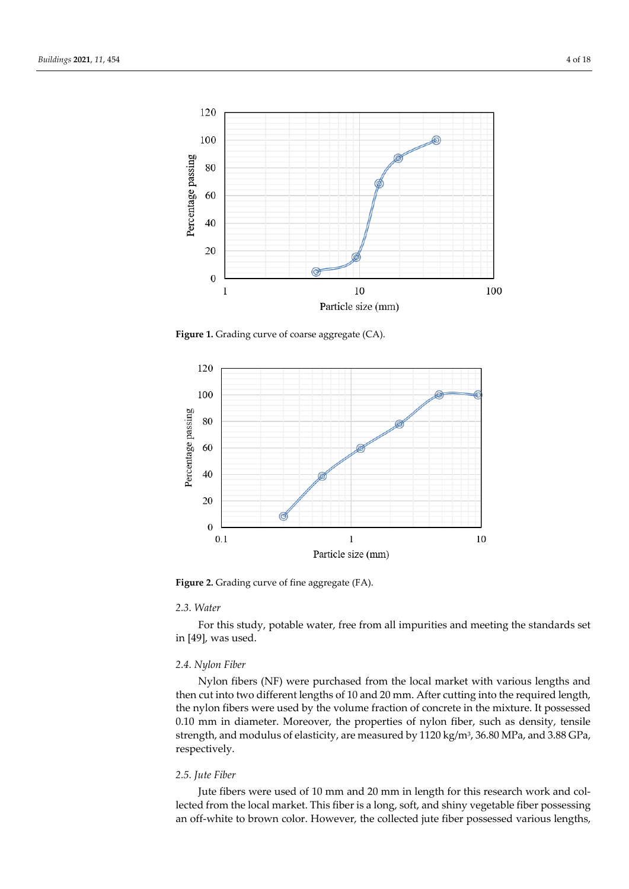

Figure 1. Grading curve of coarse aggregate (CA).



Figure 2. Grading curve of fine aggregate (FA).

## *2.3. Water*

For this study, potable water, free from all impurities and meeting the standards set in [49], was used.

## *2.4. Nylon Fiber*

Nylon fibers (NF) were purchased from the local market with various lengths and then cut into two different lengths of 10 and 20 mm. After cutting into the required length, the nylon fibers were used by the volume fraction of concrete in the mixture. It possessed 0.10 mm in diameter. Moreover, the properties of nylon fiber, such as density, tensile strength, and modulus of elasticity, are measured by 1120 kg/m<sup>3</sup> , 36.80 MPa, and 3.88 GPa, respectively.

#### *2.5. Jute Fiber*

Jute fibers were used of 10 mm and 20 mm in length for this research work and collected from the local market. This fiber is a long, soft, and shiny vegetable fiber possessing an off-white to brown color. However, the collected jute fiber possessed various lengths,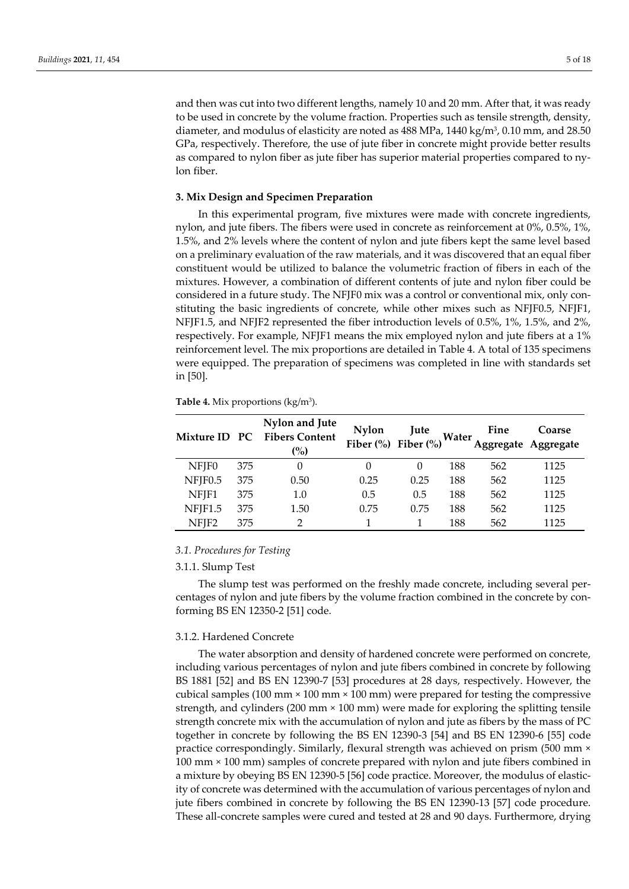and then was cut into two different lengths, namely 10 and 20 mm. After that, it was ready to be used in concrete by the volume fraction. Properties such as tensile strength, density, diameter, and modulus of elasticity are noted as 488 MPa, 1440 kg/m<sup>3</sup> , 0.10 mm, and 28.50 GPa, respectively. Therefore, the use of jute fiber in concrete might provide better results as compared to nylon fiber as jute fiber has superior material properties compared to nylon fiber.

#### **3. Mix Design and Specimen Preparation**

In this experimental program, five mixtures were made with concrete ingredients, nylon, and jute fibers. The fibers were used in concrete as reinforcement at 0%, 0.5%, 1%, 1.5%, and 2% levels where the content of nylon and jute fibers kept the same level based on a preliminary evaluation of the raw materials, and it was discovered that an equal fiber constituent would be utilized to balance the volumetric fraction of fibers in each of the mixtures. However, a combination of different contents of jute and nylon fiber could be considered in a future study. The NFJF0 mix was a control or conventional mix, only constituting the basic ingredients of concrete, while other mixes such as NFJF0.5, NFJF1, NFJF1.5, and NFJF2 represented the fiber introduction levels of 0.5%, 1%, 1.5%, and 2%, respectively. For example, NFJF1 means the mix employed nylon and jute fibers at a 1% reinforcement level. The mix proportions are detailed in Table 4. A total of 135 specimens were equipped. The preparation of specimens was completed in line with standards set in [50].

**Table 4.** Mix proportions (kg/m<sup>3</sup> ).

| Mixture ID PC |     | Nylon and Jute<br><b>Fibers Content</b><br>$\binom{0}{0}$ | <b>Nylon</b><br>Fiber $(\% )$ Fiber $(\% )$ | <b>Tute</b> | Water | Fine<br>Aggregate | Coarse<br>Aggregate |
|---------------|-----|-----------------------------------------------------------|---------------------------------------------|-------------|-------|-------------------|---------------------|
| NFJF0         | 375 | 0                                                         |                                             | $\theta$    | 188   | 562               | 1125                |
| NFJF0.5       | 375 | 0.50                                                      | 0.25                                        | 0.25        | 188   | 562               | 1125                |
| NFJF1         | 375 | 1.0                                                       | 0.5                                         | 0.5         | 188   | 562               | 1125                |
| NFJF1.5       | 375 | 1.50                                                      | 0.75                                        | 0.75        | 188   | 562               | 1125                |
| NFJF2         | 375 |                                                           |                                             |             | 188   | 562               | 1125                |

### *3.1. Procedures for Testing*

#### 3.1.1. Slump Test

The slump test was performed on the freshly made concrete, including several percentages of nylon and jute fibers by the volume fraction combined in the concrete by conforming BS EN 12350-2 [51] code.

#### 3.1.2. Hardened Concrete

The water absorption and density of hardened concrete were performed on concrete, including various percentages of nylon and jute fibers combined in concrete by following BS 1881 [52] and BS EN 12390-7 [53] procedures at 28 days, respectively. However, the cubical samples (100 mm × 100 mm × 100 mm) were prepared for testing the compressive strength, and cylinders (200 mm × 100 mm) were made for exploring the splitting tensile strength concrete mix with the accumulation of nylon and jute as fibers by the mass of PC together in concrete by following the BS EN 12390-3 [54] and BS EN 12390-6 [55] code practice correspondingly. Similarly, flexural strength was achieved on prism (500 mm × 100 mm × 100 mm) samples of concrete prepared with nylon and jute fibers combined in a mixture by obeying BS EN 12390-5 [56] code practice. Moreover, the modulus of elasticity of concrete was determined with the accumulation of various percentages of nylon and jute fibers combined in concrete by following the BS EN 12390-13 [57] code procedure. These all-concrete samples were cured and tested at 28 and 90 days. Furthermore, drying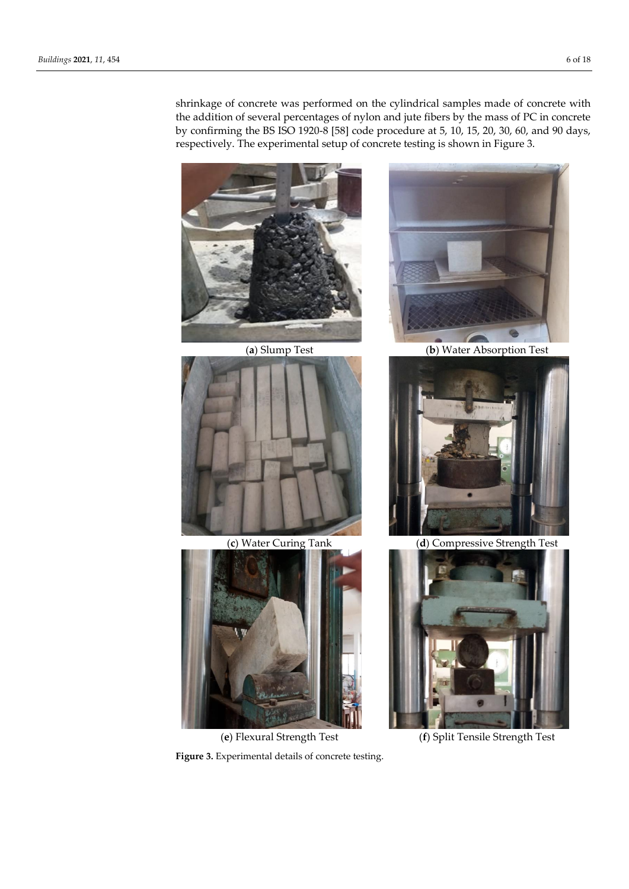shrinkage of concrete was performed on the cylindrical samples made of concrete with the addition of several percentages of nylon and jute fibers by the mass of PC in concrete by confirming the BS ISO 1920-8 [58] code procedure at 5, 10, 15, 20, 30, 60, and 90 days, respectively. The experimental setup of concrete testing is shown in Figure 3.



**Figure 3.** Experimental details of concrete testing.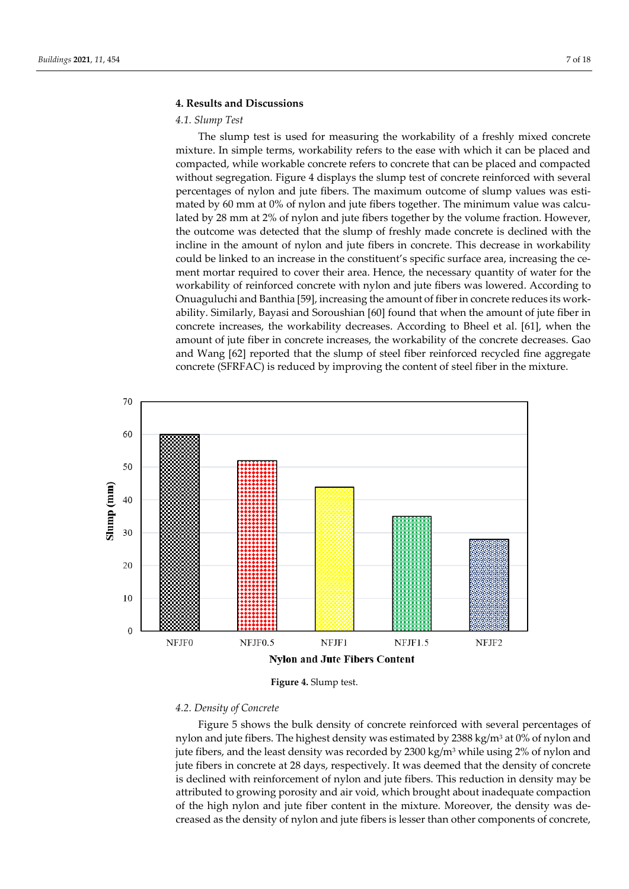#### **4. Results and Discussions**

#### *4.1. Slump Test*

The slump test is used for measuring the workability of a freshly mixed concrete mixture. In simple terms, workability refers to the ease with which it can be placed and compacted, while workable concrete refers to concrete that can be placed and compacted without segregation. Figure 4 displays the slump test of concrete reinforced with several percentages of nylon and jute fibers. The maximum outcome of slump values was estimated by 60 mm at 0% of nylon and jute fibers together. The minimum value was calculated by 28 mm at 2% of nylon and jute fibers together by the volume fraction. However, the outcome was detected that the slump of freshly made concrete is declined with the incline in the amount of nylon and jute fibers in concrete. This decrease in workability could be linked to an increase in the constituent's specific surface area, increasing the cement mortar required to cover their area. Hence, the necessary quantity of water for the workability of reinforced concrete with nylon and jute fibers was lowered. According to Onuaguluchi and Banthia [59], increasing the amount of fiber in concrete reduces its workability. Similarly, Bayasi and Soroushian [60] found that when the amount of jute fiber in concrete increases, the workability decreases. According to Bheel et al. [61], when the amount of jute fiber in concrete increases, the workability of the concrete decreases. Gao and Wang [62] reported that the slump of steel fiber reinforced recycled fine aggregate concrete (SFRFAC) is reduced by improving the content of steel fiber in the mixture.



**Figure 4.** Slump test.

#### *4.2. Density of Concrete*

Figure 5 shows the bulk density of concrete reinforced with several percentages of nylon and jute fibers. The highest density was estimated by  $2388 \text{ kg/m}^3$  at 0% of nylon and jute fibers, and the least density was recorded by 2300 kg/m<sup>3</sup> while using 2% of nylon and jute fibers in concrete at 28 days, respectively. It was deemed that the density of concrete is declined with reinforcement of nylon and jute fibers. This reduction in density may be attributed to growing porosity and air void, which brought about inadequate compaction of the high nylon and jute fiber content in the mixture. Moreover, the density was decreased as the density of nylon and jute fibers is lesser than other components of concrete,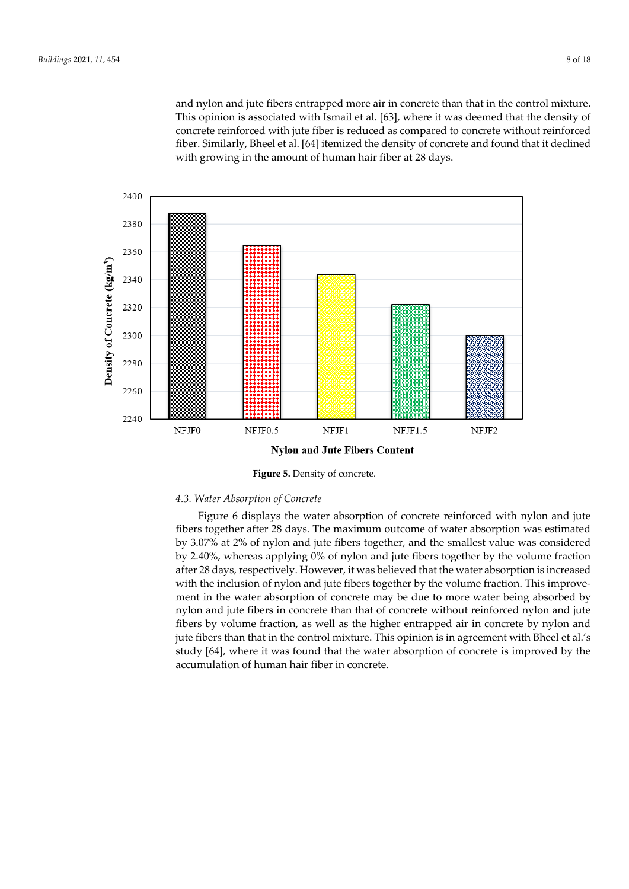and nylon and jute fibers entrapped more air in concrete than that in the control mixture. This opinion is associated with Ismail et al. [63], where it was deemed that the density of concrete reinforced with jute fiber is reduced as compared to concrete without reinforced fiber. Similarly, Bheel et al. [64] itemized the density of concrete and found that it declined with growing in the amount of human hair fiber at 28 days.



**Figure 5.** Density of concrete.

#### *4.3. Water Absorption of Concrete*

Figure 6 displays the water absorption of concrete reinforced with nylon and jute fibers together after 28 days. The maximum outcome of water absorption was estimated by 3.07% at 2% of nylon and jute fibers together, and the smallest value was considered by 2.40%, whereas applying 0% of nylon and jute fibers together by the volume fraction after 28 days, respectively. However, it was believed that the water absorption is increased with the inclusion of nylon and jute fibers together by the volume fraction. This improvement in the water absorption of concrete may be due to more water being absorbed by nylon and jute fibers in concrete than that of concrete without reinforced nylon and jute fibers by volume fraction, as well as the higher entrapped air in concrete by nylon and jute fibers than that in the control mixture. This opinion is in agreement with Bheel et al.'s study [64], where it was found that the water absorption of concrete is improved by the accumulation of human hair fiber in concrete.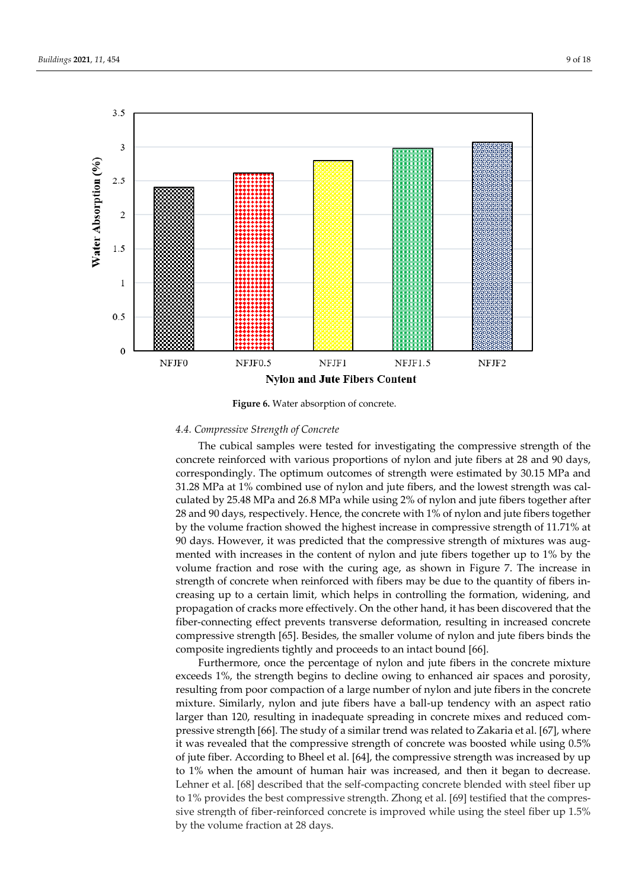

**Figure 6.** Water absorption of concrete.

#### *4.4. Compressive Strength of Concrete*

The cubical samples were tested for investigating the compressive strength of the concrete reinforced with various proportions of nylon and jute fibers at 28 and 90 days, correspondingly. The optimum outcomes of strength were estimated by 30.15 MPa and 31.28 MPa at 1% combined use of nylon and jute fibers, and the lowest strength was calculated by 25.48 MPa and 26.8 MPa while using 2% of nylon and jute fibers together after 28 and 90 days, respectively. Hence, the concrete with 1% of nylon and jute fibers together by the volume fraction showed the highest increase in compressive strength of 11.71% at 90 days. However, it was predicted that the compressive strength of mixtures was augmented with increases in the content of nylon and jute fibers together up to 1% by the volume fraction and rose with the curing age, as shown in Figure 7. The increase in strength of concrete when reinforced with fibers may be due to the quantity of fibers increasing up to a certain limit, which helps in controlling the formation, widening, and propagation of cracks more effectively. On the other hand, it has been discovered that the fiber-connecting effect prevents transverse deformation, resulting in increased concrete compressive strength [65]. Besides, the smaller volume of nylon and jute fibers binds the composite ingredients tightly and proceeds to an intact bound [66].

Furthermore, once the percentage of nylon and jute fibers in the concrete mixture exceeds 1%, the strength begins to decline owing to enhanced air spaces and porosity, resulting from poor compaction of a large number of nylon and jute fibers in the concrete mixture. Similarly, nylon and jute fibers have a ball-up tendency with an aspect ratio larger than 120, resulting in inadequate spreading in concrete mixes and reduced compressive strength [66]. The study of a similar trend was related to Zakaria et al. [67], where it was revealed that the compressive strength of concrete was boosted while using 0.5% of jute fiber. According to Bheel et al. [64], the compressive strength was increased by up to 1% when the amount of human hair was increased, and then it began to decrease. Lehner et al. [68] described that the self-compacting concrete blended with steel fiber up to 1% provides the best compressive strength. Zhong et al. [69] testified that the compressive strength of fiber-reinforced concrete is improved while using the steel fiber up 1.5% by the volume fraction at 28 days.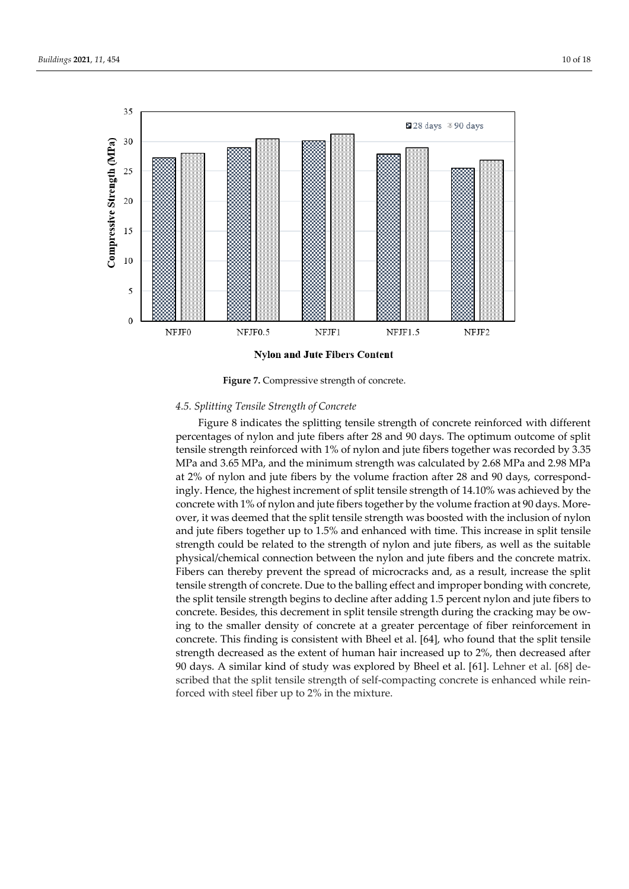

**Figure 7.** Compressive strength of concrete.

## *4.5. Splitting Tensile Strength of Concrete*

Figure 8 indicates the splitting tensile strength of concrete reinforced with different percentages of nylon and jute fibers after 28 and 90 days. The optimum outcome of split tensile strength reinforced with 1% of nylon and jute fibers together was recorded by 3.35 MPa and 3.65 MPa, and the minimum strength was calculated by 2.68 MPa and 2.98 MPa at 2% of nylon and jute fibers by the volume fraction after 28 and 90 days, correspondingly. Hence, the highest increment of split tensile strength of 14.10% was achieved by the concrete with 1% of nylon and jute fibers together by the volume fraction at 90 days. Moreover, it was deemed that the split tensile strength was boosted with the inclusion of nylon and jute fibers together up to 1.5% and enhanced with time. This increase in split tensile strength could be related to the strength of nylon and jute fibers, as well as the suitable physical/chemical connection between the nylon and jute fibers and the concrete matrix. Fibers can thereby prevent the spread of microcracks and, as a result, increase the split tensile strength of concrete. Due to the balling effect and improper bonding with concrete, the split tensile strength begins to decline after adding 1.5 percent nylon and jute fibers to concrete. Besides, this decrement in split tensile strength during the cracking may be owing to the smaller density of concrete at a greater percentage of fiber reinforcement in concrete. This finding is consistent with Bheel et al. [64], who found that the split tensile strength decreased as the extent of human hair increased up to 2%, then decreased after 90 days. A similar kind of study was explored by Bheel et al. [61]. Lehner et al. [68] described that the split tensile strength of self-compacting concrete is enhanced while reinforced with steel fiber up to 2% in the mixture.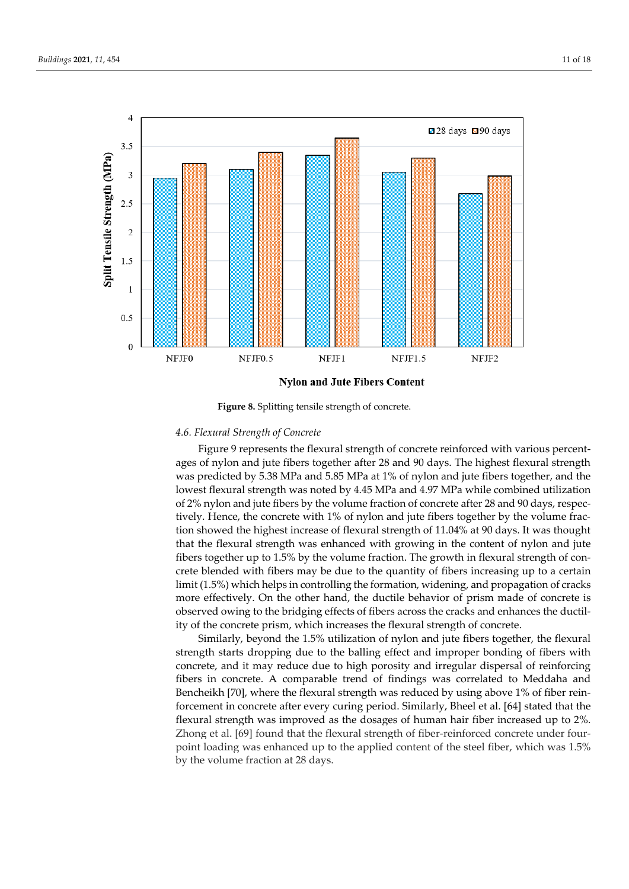

**Figure 8.** Splitting tensile strength of concrete.

## *4.6. Flexural Strength of Concrete*

Figure 9 represents the flexural strength of concrete reinforced with various percentages of nylon and jute fibers together after 28 and 90 days. The highest flexural strength was predicted by 5.38 MPa and 5.85 MPa at 1% of nylon and jute fibers together, and the lowest flexural strength was noted by 4.45 MPa and 4.97 MPa while combined utilization of 2% nylon and jute fibers by the volume fraction of concrete after 28 and 90 days, respectively. Hence, the concrete with 1% of nylon and jute fibers together by the volume fraction showed the highest increase of flexural strength of 11.04% at 90 days. It was thought that the flexural strength was enhanced with growing in the content of nylon and jute fibers together up to 1.5% by the volume fraction. The growth in flexural strength of concrete blended with fibers may be due to the quantity of fibers increasing up to a certain limit (1.5%) which helps in controlling the formation, widening, and propagation of cracks more effectively. On the other hand, the ductile behavior of prism made of concrete is observed owing to the bridging effects of fibers across the cracks and enhances the ductility of the concrete prism, which increases the flexural strength of concrete.

Similarly, beyond the 1.5% utilization of nylon and jute fibers together, the flexural strength starts dropping due to the balling effect and improper bonding of fibers with concrete, and it may reduce due to high porosity and irregular dispersal of reinforcing fibers in concrete. A comparable trend of findings was correlated to Meddaha and Bencheikh [70], where the flexural strength was reduced by using above 1% of fiber reinforcement in concrete after every curing period. Similarly, Bheel et al. [64] stated that the flexural strength was improved as the dosages of human hair fiber increased up to 2%. Zhong et al. [69] found that the flexural strength of fiber-reinforced concrete under fourpoint loading was enhanced up to the applied content of the steel fiber, which was 1.5% by the volume fraction at 28 days.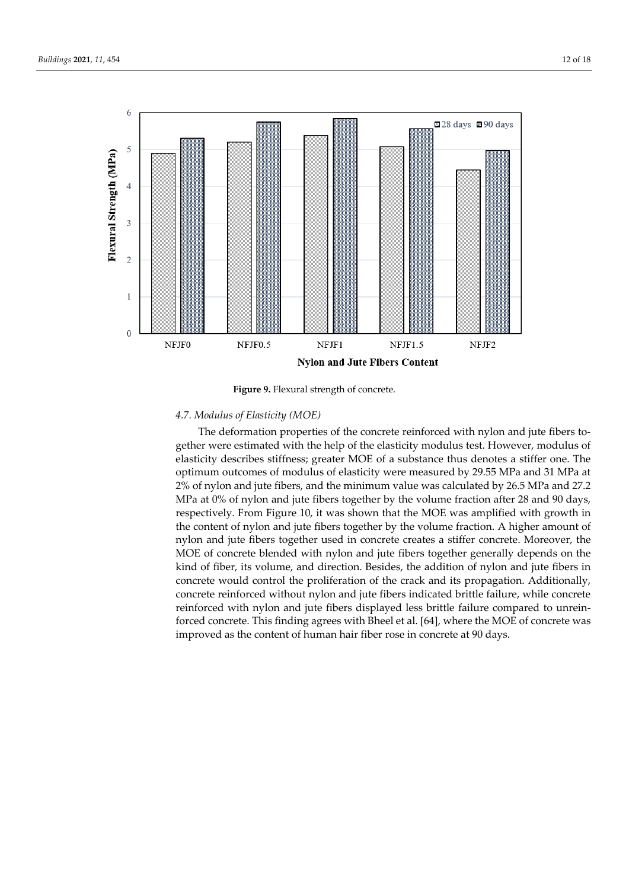

**Figure 9.** Flexural strength of concrete.

# *4.7. Modulus of Elasticity (MOE)*

The deformation properties of the concrete reinforced with nylon and jute fibers together were estimated with the help of the elasticity modulus test. However, modulus of elasticity describes stiffness; greater MOE of a substance thus denotes a stiffer one. The optimum outcomes of modulus of elasticity were measured by 29.55 MPa and 31 MPa at 2% of nylon and jute fibers, and the minimum value was calculated by 26.5 MPa and 27.2 MPa at 0% of nylon and jute fibers together by the volume fraction after 28 and 90 days, respectively. From Figure 10, it was shown that the MOE was amplified with growth in the content of nylon and jute fibers together by the volume fraction. A higher amount of nylon and jute fibers together used in concrete creates a stiffer concrete. Moreover, the MOE of concrete blended with nylon and jute fibers together generally depends on the kind of fiber, its volume, and direction. Besides, the addition of nylon and jute fibers in concrete would control the proliferation of the crack and its propagation. Additionally, concrete reinforced without nylon and jute fibers indicated brittle failure, while concrete reinforced with nylon and jute fibers displayed less brittle failure compared to unreinforced concrete. This finding agrees with Bheel et al. [64], where the MOE of concrete was improved as the content of human hair fiber rose in concrete at 90 days.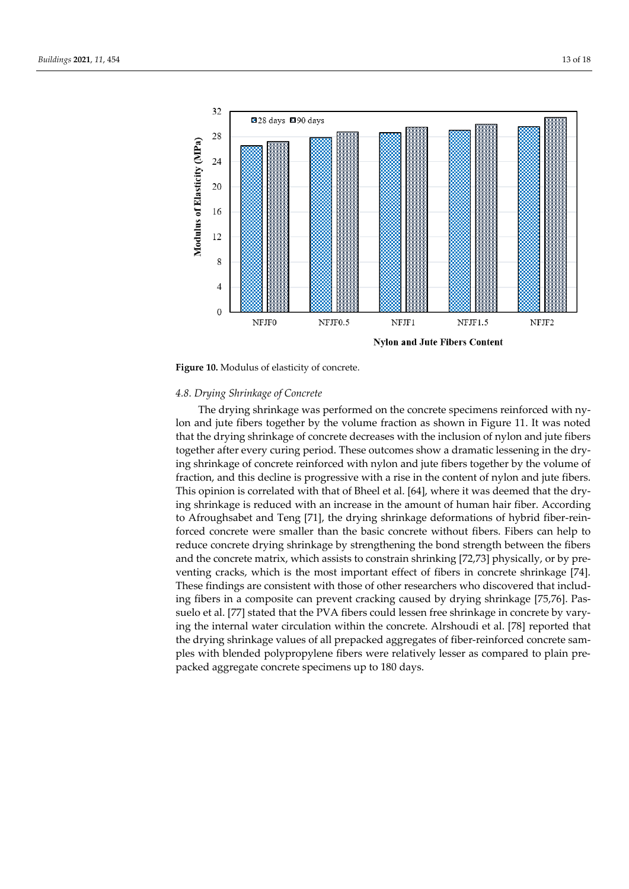

**Figure 10.** Modulus of elasticity of concrete.

## *4.8. Drying Shrinkage of Concrete*

The drying shrinkage was performed on the concrete specimens reinforced with nylon and jute fibers together by the volume fraction as shown in Figure 11. It was noted that the drying shrinkage of concrete decreases with the inclusion of nylon and jute fibers together after every curing period. These outcomes show a dramatic lessening in the drying shrinkage of concrete reinforced with nylon and jute fibers together by the volume of fraction, and this decline is progressive with a rise in the content of nylon and jute fibers. This opinion is correlated with that of Bheel et al. [64], where it was deemed that the drying shrinkage is reduced with an increase in the amount of human hair fiber. According to Afroughsabet and Teng [71], the drying shrinkage deformations of hybrid fiber-reinforced concrete were smaller than the basic concrete without fibers. Fibers can help to reduce concrete drying shrinkage by strengthening the bond strength between the fibers and the concrete matrix, which assists to constrain shrinking [72,73] physically, or by preventing cracks, which is the most important effect of fibers in concrete shrinkage [74]. These findings are consistent with those of other researchers who discovered that including fibers in a composite can prevent cracking caused by drying shrinkage [75,76]. Passuelo et al. [77] stated that the PVA fibers could lessen free shrinkage in concrete by varying the internal water circulation within the concrete. Alrshoudi et al. [78] reported that the drying shrinkage values of all prepacked aggregates of fiber-reinforced concrete samples with blended polypropylene fibers were relatively lesser as compared to plain prepacked aggregate concrete specimens up to 180 days.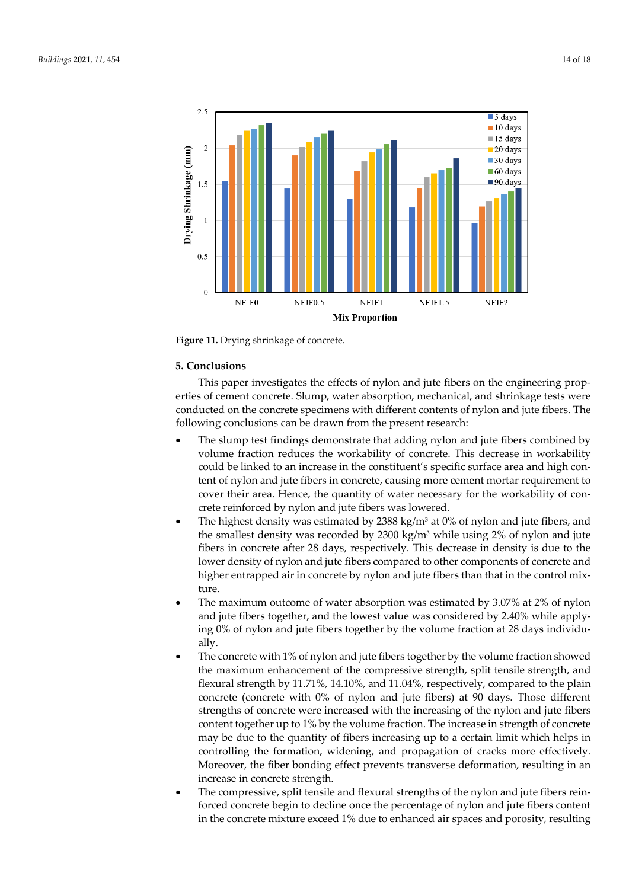

**Figure 11.** Drying shrinkage of concrete.

## **5. Conclusions**

This paper investigates the effects of nylon and jute fibers on the engineering properties of cement concrete. Slump, water absorption, mechanical, and shrinkage tests were conducted on the concrete specimens with different contents of nylon and jute fibers. The following conclusions can be drawn from the present research:

- The slump test findings demonstrate that adding nylon and jute fibers combined by volume fraction reduces the workability of concrete. This decrease in workability could be linked to an increase in the constituent's specific surface area and high content of nylon and jute fibers in concrete, causing more cement mortar requirement to cover their area. Hence, the quantity of water necessary for the workability of concrete reinforced by nylon and jute fibers was lowered.
- The highest density was estimated by 2388 kg/m<sup>3</sup> at 0% of nylon and jute fibers, and the smallest density was recorded by 2300 kg/m<sup>3</sup> while using 2% of nylon and jute fibers in concrete after 28 days, respectively. This decrease in density is due to the lower density of nylon and jute fibers compared to other components of concrete and higher entrapped air in concrete by nylon and jute fibers than that in the control mixture.
- The maximum outcome of water absorption was estimated by 3.07% at 2% of nylon and jute fibers together, and the lowest value was considered by 2.40% while applying 0% of nylon and jute fibers together by the volume fraction at 28 days individually.
- The concrete with 1% of nylon and jute fibers together by the volume fraction showed the maximum enhancement of the compressive strength, split tensile strength, and flexural strength by 11.71%, 14.10%, and 11.04%, respectively, compared to the plain concrete (concrete with 0% of nylon and jute fibers) at 90 days. Those different strengths of concrete were increased with the increasing of the nylon and jute fibers content together up to 1% by the volume fraction. The increase in strength of concrete may be due to the quantity of fibers increasing up to a certain limit which helps in controlling the formation, widening, and propagation of cracks more effectively. Moreover, the fiber bonding effect prevents transverse deformation, resulting in an increase in concrete strength.
- The compressive, split tensile and flexural strengths of the nylon and jute fibers reinforced concrete begin to decline once the percentage of nylon and jute fibers content in the concrete mixture exceed 1% due to enhanced air spaces and porosity, resulting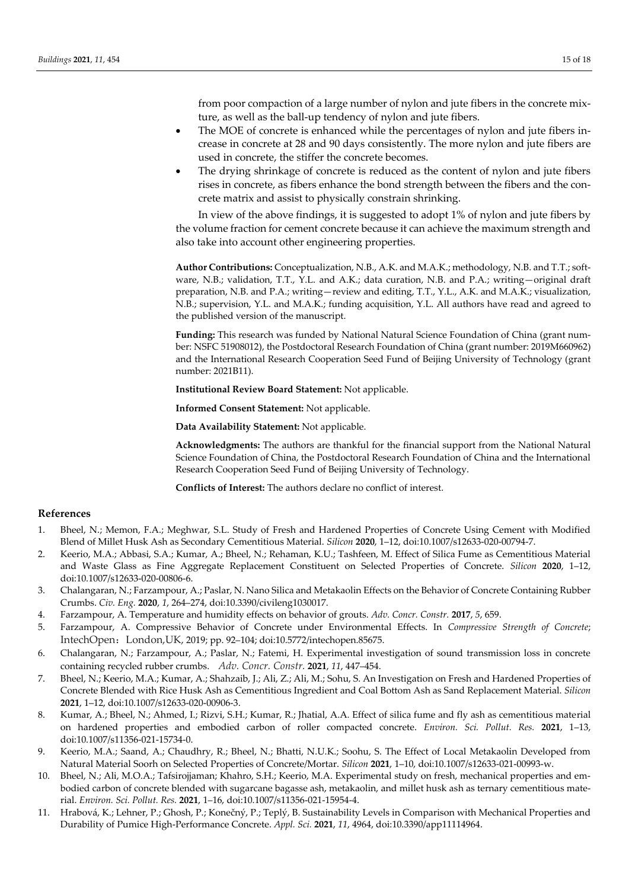from poor compaction of a large number of nylon and jute fibers in the concrete mixture, as well as the ball-up tendency of nylon and jute fibers.

- The MOE of concrete is enhanced while the percentages of nylon and jute fibers increase in concrete at 28 and 90 days consistently. The more nylon and jute fibers are used in concrete, the stiffer the concrete becomes.
- The drying shrinkage of concrete is reduced as the content of nylon and jute fibers rises in concrete, as fibers enhance the bond strength between the fibers and the concrete matrix and assist to physically constrain shrinking.

In view of the above findings, it is suggested to adopt 1% of nylon and jute fibers by the volume fraction for cement concrete because it can achieve the maximum strength and also take into account other engineering properties.

**Author Contributions:** Conceptualization, N.B., A.K. and M.A.K.; methodology, N.B. and T.T.; software, N.B.; validation, T.T., Y.L. and A.K.; data curation, N.B. and P.A.; writing—original draft preparation, N.B. and P.A.; writing—review and editing, T.T., Y.L., A.K. and M.A.K.; visualization, N.B.; supervision, Y.L. and M.A.K.; funding acquisition, Y.L. All authors have read and agreed to the published version of the manuscript.

**Funding:** This research was funded by National Natural Science Foundation of China (grant number: NSFC 51908012), the Postdoctoral Research Foundation of China (grant number: 2019M660962) and the International Research Cooperation Seed Fund of Beijing University of Technology (grant number: 2021B11).

**Institutional Review Board Statement:** Not applicable.

**Informed Consent Statement:** Not applicable.

**Data Availability Statement:** Not applicable.

**Acknowledgments:** The authors are thankful for the financial support from the National Natural Science Foundation of China, the Postdoctoral Research Foundation of China and the International Research Cooperation Seed Fund of Beijing University of Technology.

**Conflicts of Interest:** The authors declare no conflict of interest.

## **References**

- 1. Bheel, N.; Memon, F.A.; Meghwar, S.L. Study of Fresh and Hardened Properties of Concrete Using Cement with Modified Blend of Millet Husk Ash as Secondary Cementitious Material. *Silicon* **2020**, 1–12, doi:10.1007/s12633-020-00794-7.
- 2. Keerio, M.A.; Abbasi, S.A.; Kumar, A.; Bheel, N.; Rehaman, K.U.; Tashfeen, M. Effect of Silica Fume as Cementitious Material and Waste Glass as Fine Aggregate Replacement Constituent on Selected Properties of Concrete. *Silicon* **2020**, 1–12, doi:10.1007/s12633-020-00806-6.
- 3. Chalangaran, N.; Farzampour, A.; Paslar, N. Nano Silica and Metakaolin Effects on the Behavior of Concrete Containing Rubber Crumbs. *Civ. Eng.* **2020**, *1*, 264–274, doi:10.3390/civileng1030017.
- 4. Farzampour, A. Temperature and humidity effects on behavior of grouts. *Adv. Concr. Constr.* **2017**, *5*, 659.
- 5. Farzampour, A. Compressive Behavior of Concrete under Environmental Effects. In *Compressive Strength of Concrete*; IntechOpen: London, UK, 2019; pp. 92-104; doi:10.5772/intechopen.85675.
- 6. Chalangaran, N.; Farzampour, A.; Paslar, N.; Fatemi, H. Experimental investigation of sound transmission loss in concrete containing recycled rubber crumbs. *Adv. Concr. Constr.* **2021**, *11*, 447–454.
- 7. Bheel, N.; Keerio, M.A.; Kumar, A.; Shahzaib, J.; Ali, Z.; Ali, M.; Sohu, S. An Investigation on Fresh and Hardened Properties of Concrete Blended with Rice Husk Ash as Cementitious Ingredient and Coal Bottom Ash as Sand Replacement Material. *Silicon* **2021**, 1–12, doi:10.1007/s12633-020-00906-3.
- 8. Kumar, A.; Bheel, N.; Ahmed, I.; Rizvi, S.H.; Kumar, R.; Jhatial, A.A. Effect of silica fume and fly ash as cementitious material on hardened properties and embodied carbon of roller compacted concrete. *Environ. Sci. Pollut. Res.* **2021**, 1–13, doi:10.1007/s11356-021-15734-0.
- 9. Keerio, M.A.; Saand, A.; Chaudhry, R.; Bheel, N.; Bhatti, N.U.K.; Soohu, S. The Effect of Local Metakaolin Developed from Natural Material Soorh on Selected Properties of Concrete/Mortar. *Silicon* **2021**, 1–10, doi:10.1007/s12633-021-00993-w.
- Bheel, N.; Ali, M.O.A.; Tafsirojjaman; Khahro, S.H.; Keerio, M.A. Experimental study on fresh, mechanical properties and embodied carbon of concrete blended with sugarcane bagasse ash, metakaolin, and millet husk ash as ternary cementitious material. *Environ. Sci. Pollut. Res.* **2021**, 1–16, doi:10.1007/s11356-021-15954-4.
- 11. Hrabová, K.; Lehner, P.; Ghosh, P.; Konečný, P.; Teplý, B. Sustainability Levels in Comparison with Mechanical Properties and Durability of Pumice High-Performance Concrete. *Appl. Sci.* **2021**, *11*, 4964, doi:10.3390/app11114964.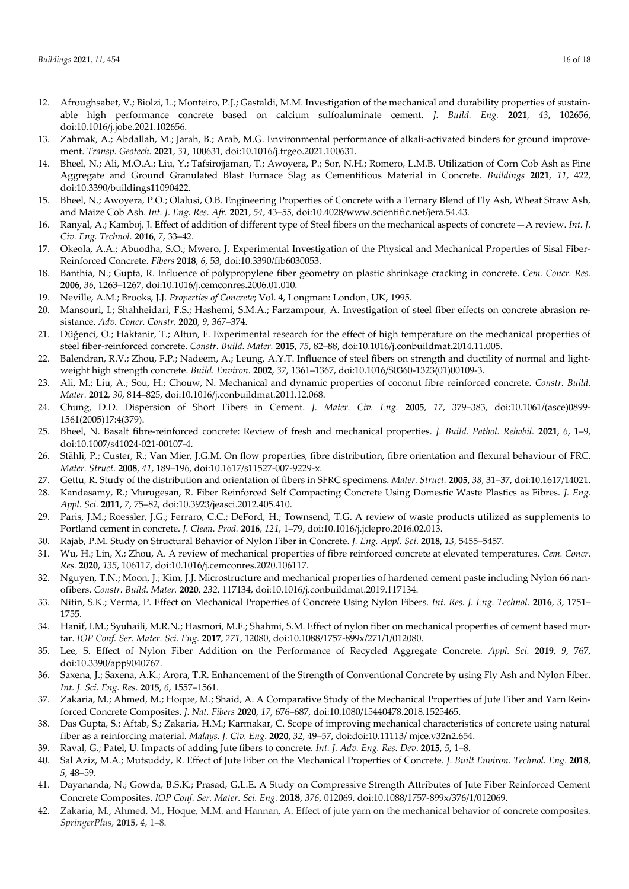- 12. Afroughsabet, V.; Biolzi, L.; Monteiro, P.J.; Gastaldi, M.M. Investigation of the mechanical and durability properties of sustainable high performance concrete based on calcium sulfoaluminate cement. *J. Build. Eng.* **2021**, *43*, 102656, doi:10.1016/j.jobe.2021.102656.
- 13. Zahmak, A.; Abdallah, M.; Jarah, B.; Arab, M.G. Environmental performance of alkali-activated binders for ground improvement. *Transp. Geotech.* **2021**, *31*, 100631, doi:10.1016/j.trgeo.2021.100631.
- 14. Bheel, N.; Ali, M.O.A.; Liu, Y.; Tafsirojjaman, T.; Awoyera, P.; Sor, N.H.; Romero, L.M.B. Utilization of Corn Cob Ash as Fine Aggregate and Ground Granulated Blast Furnace Slag as Cementitious Material in Concrete. *Buildings* **2021**, *11*, 422, doi:10.3390/buildings11090422.
- 15. Bheel, N.; Awoyera, P.O.; Olalusi, O.B. Engineering Properties of Concrete with a Ternary Blend of Fly Ash, Wheat Straw Ash, and Maize Cob Ash. *Int. J. Eng. Res. Afr.* **2021**, *54*, 43–55, doi:10.4028/www.scientific.net/jera.54.43.
- 16. Ranyal, A.; Kamboj, J. Effect of addition of different type of Steel fibers on the mechanical aspects of concrete—A review. *Int. J. Civ. Eng. Technol.* **2016**, *7*, 33–42.
- 17. Okeola, A.A.; Abuodha, S.O.; Mwero, J. Experimental Investigation of the Physical and Mechanical Properties of Sisal Fiber-Reinforced Concrete. *Fibers* **2018**, *6*, 53, doi:10.3390/fib6030053.
- 18. Banthia, N.; Gupta, R. Influence of polypropylene fiber geometry on plastic shrinkage cracking in concrete. *Cem. Concr. Res.* **2006**, *36*, 1263–1267, doi:10.1016/j.cemconres.2006.01.010.
- 19. Neville, A.M.; Brooks, J.J. *Properties of Concrete*; Vol. 4, Longman: London, UK, 1995.
- 20. Mansouri, I.; Shahheidari, F.S.; Hashemi, S.M.A.; Farzampour, A. Investigation of steel fiber effects on concrete abrasion resistance. *Adv. Concr. Constr.* **2020**, *9*, 367–374.
- 21. Düğenci, O.; Haktanir, T.; Altun, F. Experimental research for the effect of high temperature on the mechanical properties of steel fiber-reinforced concrete. *Constr. Build. Mater.* **2015**, *75*, 82–88, doi:10.1016/j.conbuildmat.2014.11.005.
- 22. Balendran, R.V.; Zhou, F.P.; Nadeem, A.; Leung, A.Y.T. Influence of steel fibers on strength and ductility of normal and lightweight high strength concrete. *Build. Environ*. **2002**, *37*, 1361–1367, doi:10.1016/S0360-1323(01)00109-3.
- 23. Ali, M.; Liu, A.; Sou, H.; Chouw, N. Mechanical and dynamic properties of coconut fibre reinforced concrete. *Constr. Build. Mater.* **2012**, *30*, 814–825, doi:10.1016/j.conbuildmat.2011.12.068.
- 24. Chung, D.D. Dispersion of Short Fibers in Cement. *J. Mater. Civ. Eng.* **2005**, *17*, 379–383, doi:10.1061/(asce)0899- 1561(2005)17:4(379).
- 25. Bheel, N. Basalt fibre-reinforced concrete: Review of fresh and mechanical properties. *J. Build. Pathol. Rehabil.* **2021**, *6*, 1–9, doi:10.1007/s41024-021-00107-4.
- 26. Stähli, P.; Custer, R.; Van Mier, J.G.M. On flow properties, fibre distribution, fibre orientation and flexural behaviour of FRC. *Mater. Struct.* **2008**, *41*, 189–196, doi:10.1617/s11527-007-9229-x.
- 27. Gettu, R. Study of the distribution and orientation of fibers in SFRC specimens. *Mater. Struct.* **2005**, *38*, 31–37, doi:10.1617/14021.
- 28. Kandasamy, R.; Murugesan, R. Fiber Reinforced Self Compacting Concrete Using Domestic Waste Plastics as Fibres. *J. Eng. Appl. Sci.* **2011**, *7*, 75–82, doi:10.3923/jeasci.2012.405.410.
- 29. Paris, J.M.; Roessler, J.G.; Ferraro, C.C.; DeFord, H.; Townsend, T.G. A review of waste products utilized as supplements to Portland cement in concrete. *J. Clean. Prod.* **2016**, *121*, 1–79, doi:10.1016/j.jclepro.2016.02.013.
- 30. Rajab, P.M. Study on Structural Behavior of Nylon Fiber in Concrete. *J. Eng. Appl. Sci*. **2018**, *13*, 5455–5457.
- 31. Wu, H.; Lin, X.; Zhou, A. A review of mechanical properties of fibre reinforced concrete at elevated temperatures. *Cem. Concr. Res.* **2020**, *135*, 106117, doi:10.1016/j.cemconres.2020.106117.
- 32. Nguyen, T.N.; Moon, J.; Kim, J.J. Microstructure and mechanical properties of hardened cement paste including Nylon 66 nanofibers. *Constr. Build. Mater.* **2020**, *232*, 117134, doi:10.1016/j.conbuildmat.2019.117134.
- 33. Nitin, S.K.; Verma, P. Effect on Mechanical Properties of Concrete Using Nylon Fibers. *Int. Res. J. Eng. Technol*. **2016**, *3*, 1751– 1755.
- 34. Hanif, I.M.; Syuhaili, M.R.N.; Hasmori, M.F.; Shahmi, S.M. Effect of nylon fiber on mechanical properties of cement based mortar. *IOP Conf. Ser. Mater. Sci. Eng.* **2017**, *271*, 12080, doi:10.1088/1757-899x/271/1/012080.
- 35. Lee, S. Effect of Nylon Fiber Addition on the Performance of Recycled Aggregate Concrete. *Appl. Sci.* **2019**, *9*, 767, doi:10.3390/app9040767.
- 36. Saxena, J.; Saxena, A.K.; Arora, T.R. Enhancement of the Strength of Conventional Concrete by using Fly Ash and Nylon Fiber. *Int. J. Sci. Eng. Res*. **2015**, *6*, 1557–1561.
- 37. Zakaria, M.; Ahmed, M.; Hoque, M.; Shaid, A. A Comparative Study of the Mechanical Properties of Jute Fiber and Yarn Reinforced Concrete Composites. *J. Nat. Fibers* **2020**, *17*, 676–687, doi:10.1080/15440478.2018.1525465.
- 38. Das Gupta, S.; Aftab, S.; Zakaria, H.M.; Karmakar, C. Scope of improving mechanical characteristics of concrete using natural fiber as a reinforcing material. *Malays. J. Civ. Eng*. **2020**, *32*, 49–57, doi:doi:10.11113/ mjce.v32n2.654.
- 39. Raval, G.; Patel, U. Impacts of adding Jute fibers to concrete. *Int. J. Adv. Eng. Res. Dev*. **2015**, *5*, 1–8.
- 40. Sal Aziz, M.A.; Mutsuddy, R. Effect of Jute Fiber on the Mechanical Properties of Concrete. *J. Built Environ. Technol. Eng*. **2018**, *5*, 48–59.
- 41. Dayananda, N.; Gowda, B.S.K.; Prasad, G.L.E. A Study on Compressive Strength Attributes of Jute Fiber Reinforced Cement Concrete Composites. *IOP Conf. Ser. Mater. Sci. Eng.* **2018**, *376*, 012069, doi:10.1088/1757-899x/376/1/012069.
- 42. Zakaria, M., Ahmed, M., Hoque, M.M. and Hannan, A. Effect of jute yarn on the mechanical behavior of concrete composites. *SpringerPlus*, **2015**, *4*, 1–8.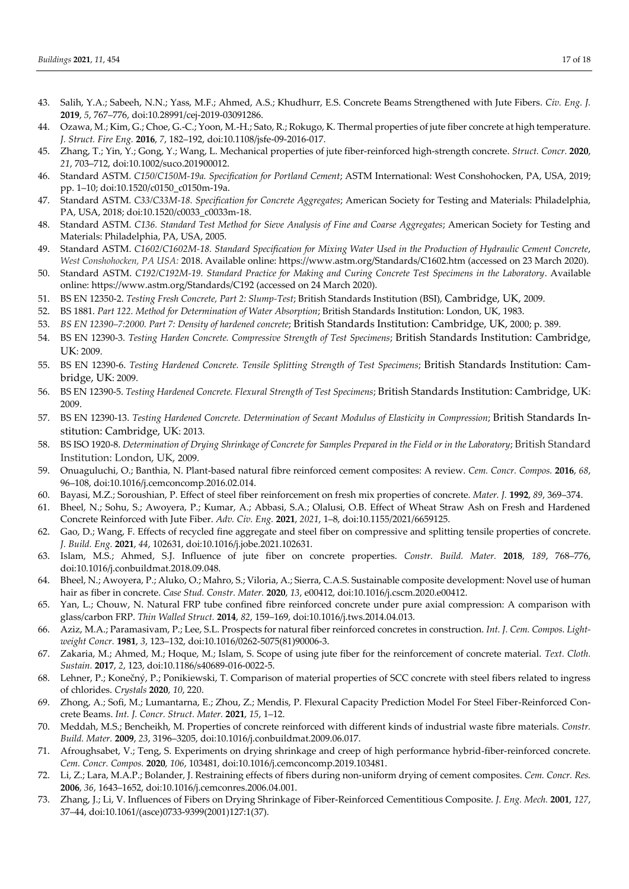- 43. Salih, Y.A.; Sabeeh, N.N.; Yass, M.F.; Ahmed, A.S.; Khudhurr, E.S. Concrete Beams Strengthened with Jute Fibers. *Civ. Eng. J.* **2019**, *5*, 767–776, doi:10.28991/cej-2019-03091286.
- 44. Ozawa, M.; Kim, G.; Choe, G.-C.; Yoon, M.-H.; Sato, R.; Rokugo, K. Thermal properties of jute fiber concrete at high temperature. *J. Struct. Fire Eng.* **2016**, *7*, 182–192, doi:10.1108/jsfe-09-2016-017.
- 45. Zhang, T.; Yin, Y.; Gong, Y.; Wang, L. Mechanical properties of jute fiber‐reinforced high‐strength concrete. *Struct. Concr.* **2020**, *21*, 703–712, doi:10.1002/suco.201900012.
- 46. Standard ASTM. *C150/C150M-19a. Specification for Portland Cement*; ASTM International: West Conshohocken, PA, USA, 2019; pp. 1–10; doi:10.1520/c0150\_c0150m-19a.
- 47. Standard ASTM. *C33/C33M-18. Specification for Concrete Aggregates*; American Society for Testing and Materials: Philadelphia, PA, USA, 2018; doi:10.1520/c0033\_c0033m-18.
- 48. Standard ASTM. *C136. Standard Test Method for Sieve Analysis of Fine and Coarse Aggregates*; American Society for Testing and Materials: Philadelphia, PA, USA, 2005.
- 49. Standard ASTM. *C1602/C1602M-18. Standard Specification for Mixing Water Used in the Production of Hydraulic Cement Concrete*, *West Conshohocken, PA USA:* 2018. Available online: https://www.astm.org/Standards/C1602.htm (accessed on 23 March 2020).
- 50. Standard ASTM. *C192/C192M-19. Standard Practice for Making and Curing Concrete Test Specimens in the Laboratory*. Available online: https://www.astm.org/Standards/C192 (accessed on 24 March 2020).
- 51. BS EN 12350-2. *Testing Fresh Concrete, Part 2: Slump-Test*; British Standards Institution (BSI), Cambridge, UK, 2009.
- 52. BS 1881. *Part 122. Method for Determination of Water Absorption*; British Standards Institution: London, UK, 1983.
- 53. *BS EN 12390–7:2000. Part 7: Density of hardened concrete*; British Standards Institution: Cambridge, UK, 2000; p. 389.
- 54. BS EN 12390-3. *Testing Harden Concrete. Compressive Strength of Test Specimens*; British Standards Institution: Cambridge, UK: 2009.
- 55. BS EN 12390-6. *Testing Hardened Concrete. Tensile Splitting Strength of Test Specimens*; British Standards Institution: Cambridge, UK: 2009.
- 56. BS EN 12390-5. *Testing Hardened Concrete. Flexural Strength of Test Specimens*; British Standards Institution: Cambridge, UK: 2009.
- 57. BS EN 12390-13. *Testing Hardened Concrete. Determination of Secant Modulus of Elasticity in Compression*; British Standards Institution: Cambridge, UK: 2013.
- 58. BS ISO 1920-8. *Determination of Drying Shrinkage of Concrete for Samples Prepared in the Field or in the Laboratory*; British Standard Institution: London, UK, 2009.
- 59. Onuaguluchi, O.; Banthia, N. Plant-based natural fibre reinforced cement composites: A review. *Cem. Concr. Compos.* **2016**, *68*, 96–108, doi:10.1016/j.cemconcomp.2016.02.014.
- 60. Bayasi, M.Z.; Soroushian, P. Effect of steel fiber reinforcement on fresh mix properties of concrete. *Mater. J.* **1992**, *89*, 369–374.
- 61. Bheel, N.; Sohu, S.; Awoyera, P.; Kumar, A.; Abbasi, S.A.; Olalusi, O.B. Effect of Wheat Straw Ash on Fresh and Hardened Concrete Reinforced with Jute Fiber. *Adv. Civ. Eng.* **2021**, *2021*, 1–8, doi:10.1155/2021/6659125.
- 62. Gao, D.; Wang, F. Effects of recycled fine aggregate and steel fiber on compressive and splitting tensile properties of concrete. *J. Build. Eng.* **2021**, *44*, 102631, doi:10.1016/j.jobe.2021.102631.
- 63. Islam, M.S.; Ahmed, S.J. Influence of jute fiber on concrete properties. *Constr. Build. Mater.* **2018**, *189*, 768–776, doi:10.1016/j.conbuildmat.2018.09.048.
- 64. Bheel, N.; Awoyera, P.; Aluko, O.; Mahro, S.; Viloria, A.; Sierra, C.A.S. Sustainable composite development: Novel use of human hair as fiber in concrete. *Case Stud. Constr. Mater.* **2020**, *13*, e00412, doi:10.1016/j.cscm.2020.e00412.
- 65. Yan, L.; Chouw, N. Natural FRP tube confined fibre reinforced concrete under pure axial compression: A comparison with glass/carbon FRP. *Thin Walled Struct.* **2014**, *82*, 159–169, doi:10.1016/j.tws.2014.04.013.
- 66. Aziz, M.A.; Paramasivam, P.; Lee, S.L. Prospects for natural fiber reinforced concretes in construction. *Int. J. Cem. Compos. Lightweight Concr.* **1981**, *3*, 123–132, doi:10.1016/0262-5075(81)90006-3.
- 67. Zakaria, M.; Ahmed, M.; Hoque, M.; Islam, S. Scope of using jute fiber for the reinforcement of concrete material. *Text. Cloth. Sustain.* **2017**, *2*, 123, doi:10.1186/s40689-016-0022-5.
- 68. Lehner, P.; Konečný, P.; Ponikiewski, T. Comparison of material properties of SCC concrete with steel fibers related to ingress of chlorides. *Crystals* **2020**, *10*, 220.
- 69. Zhong, A.; Sofi, M.; Lumantarna, E.; Zhou, Z.; Mendis, P. Flexural Capacity Prediction Model For Steel Fiber-Reinforced Concrete Beams. *Int. J. Concr. Struct. Mater.* **2021**, *15*, 1–12.
- 70. Meddah, M.S.; Bencheikh, M. Properties of concrete reinforced with different kinds of industrial waste fibre materials. *Constr. Build. Mater.* **2009**, *23*, 3196–3205, doi:10.1016/j.conbuildmat.2009.06.017.
- 71. Afroughsabet, V.; Teng, S. Experiments on drying shrinkage and creep of high performance hybrid-fiber-reinforced concrete. *Cem. Concr. Compos.* **2020**, *106*, 103481, doi:10.1016/j.cemconcomp.2019.103481.
- 72. Li, Z.; Lara, M.A.P.; Bolander, J. Restraining effects of fibers during non-uniform drying of cement composites. *Cem. Concr. Res.* **2006**, *36*, 1643–1652, doi:10.1016/j.cemconres.2006.04.001.
- 73. Zhang, J.; Li, V. Influences of Fibers on Drying Shrinkage of Fiber-Reinforced Cementitious Composite. *J. Eng. Mech.* **2001**, *127*, 37–44, doi:10.1061/(asce)0733-9399(2001)127:1(37).